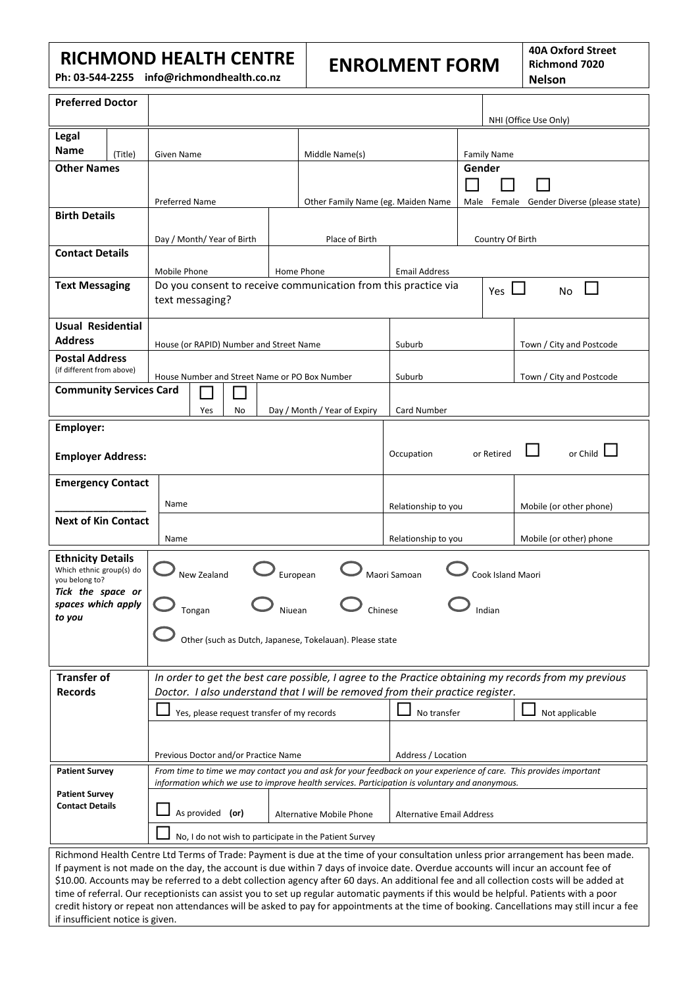## **RICHMOND HEALTH CENTRE**

**Ph: 03-544-2255 info@richmondhealth.co.nz**

# **ENROLMENT FORM**

**40A Oxford Street Richmond 7020 Nelson**

| <b>Preferred Doctor</b>                                                                                                                                                                                                                                                        |                                                                                                                                                                                                                                               |                                                                                                              |             |                                         |                    |                     |                                    |                                  |                                              | NHI (Office Use Only)    |                          |  |
|--------------------------------------------------------------------------------------------------------------------------------------------------------------------------------------------------------------------------------------------------------------------------------|-----------------------------------------------------------------------------------------------------------------------------------------------------------------------------------------------------------------------------------------------|--------------------------------------------------------------------------------------------------------------|-------------|-----------------------------------------|--------------------|---------------------|------------------------------------|----------------------------------|----------------------------------------------|--------------------------|--------------------------|--|
| Legal                                                                                                                                                                                                                                                                          |                                                                                                                                                                                                                                               |                                                                                                              |             |                                         |                    |                     |                                    |                                  |                                              |                          |                          |  |
| <b>Name</b>                                                                                                                                                                                                                                                                    |                                                                                                                                                                                                                                               |                                                                                                              |             |                                         |                    |                     |                                    |                                  |                                              |                          |                          |  |
| <b>Other Names</b>                                                                                                                                                                                                                                                             | (Title)                                                                                                                                                                                                                                       | Given Name                                                                                                   |             |                                         |                    | Middle Name(s)      |                                    |                                  | <b>Family Name</b><br>Gender                 |                          |                          |  |
|                                                                                                                                                                                                                                                                                |                                                                                                                                                                                                                                               |                                                                                                              |             |                                         |                    |                     |                                    |                                  |                                              |                          |                          |  |
|                                                                                                                                                                                                                                                                                |                                                                                                                                                                                                                                               | <b>Preferred Name</b>                                                                                        |             |                                         |                    |                     | Other Family Name (eg. Maiden Name |                                  | Female Gender Diverse (please state)<br>Male |                          |                          |  |
| <b>Birth Details</b>                                                                                                                                                                                                                                                           |                                                                                                                                                                                                                                               |                                                                                                              |             |                                         |                    |                     |                                    |                                  |                                              |                          |                          |  |
|                                                                                                                                                                                                                                                                                |                                                                                                                                                                                                                                               |                                                                                                              |             |                                         |                    |                     |                                    |                                  |                                              |                          |                          |  |
|                                                                                                                                                                                                                                                                                |                                                                                                                                                                                                                                               | Day / Month/ Year of Birth                                                                                   |             |                                         |                    | Place of Birth      |                                    |                                  | Country Of Birth                             |                          |                          |  |
| <b>Contact Details</b>                                                                                                                                                                                                                                                         |                                                                                                                                                                                                                                               |                                                                                                              |             |                                         |                    |                     |                                    |                                  |                                              |                          |                          |  |
| <b>Text Messaging</b>                                                                                                                                                                                                                                                          |                                                                                                                                                                                                                                               | Mobile Phone                                                                                                 |             |                                         |                    | Home Phone          | <b>Email Address</b>               |                                  |                                              |                          |                          |  |
|                                                                                                                                                                                                                                                                                |                                                                                                                                                                                                                                               | Do you consent to receive communication from this practice via<br>Yes $\Box$<br><b>No</b><br>text messaging? |             |                                         |                    |                     |                                    |                                  |                                              |                          |                          |  |
|                                                                                                                                                                                                                                                                                |                                                                                                                                                                                                                                               |                                                                                                              |             |                                         |                    |                     |                                    |                                  |                                              |                          |                          |  |
| <b>Usual Residential</b>                                                                                                                                                                                                                                                       |                                                                                                                                                                                                                                               |                                                                                                              |             |                                         |                    |                     |                                    |                                  |                                              |                          |                          |  |
| <b>Address</b>                                                                                                                                                                                                                                                                 |                                                                                                                                                                                                                                               |                                                                                                              |             | House (or RAPID) Number and Street Name |                    |                     | Suburb                             |                                  |                                              |                          | Town / City and Postcode |  |
| <b>Postal Address</b>                                                                                                                                                                                                                                                          |                                                                                                                                                                                                                                               |                                                                                                              |             |                                         |                    |                     |                                    |                                  |                                              |                          |                          |  |
| (if different from above)                                                                                                                                                                                                                                                      |                                                                                                                                                                                                                                               | House Number and Street Name or PO Box Number                                                                |             |                                         |                    |                     | Suburb                             |                                  |                                              | Town / City and Postcode |                          |  |
| <b>Community Services Card</b>                                                                                                                                                                                                                                                 |                                                                                                                                                                                                                                               |                                                                                                              |             |                                         |                    |                     |                                    |                                  |                                              |                          |                          |  |
|                                                                                                                                                                                                                                                                                |                                                                                                                                                                                                                                               | Yes<br>Day / Month / Year of Expiry<br>No                                                                    |             |                                         |                    |                     | Card Number                        |                                  |                                              |                          |                          |  |
| <b>Employer:</b>                                                                                                                                                                                                                                                               |                                                                                                                                                                                                                                               |                                                                                                              |             |                                         |                    |                     |                                    |                                  |                                              |                          |                          |  |
|                                                                                                                                                                                                                                                                                |                                                                                                                                                                                                                                               |                                                                                                              |             |                                         |                    |                     |                                    |                                  |                                              |                          |                          |  |
| <b>Employer Address:</b>                                                                                                                                                                                                                                                       |                                                                                                                                                                                                                                               |                                                                                                              |             |                                         |                    |                     | Occupation                         |                                  |                                              | or Child<br>or Retired   |                          |  |
| <b>Emergency Contact</b>                                                                                                                                                                                                                                                       |                                                                                                                                                                                                                                               |                                                                                                              |             |                                         |                    |                     |                                    |                                  |                                              |                          |                          |  |
|                                                                                                                                                                                                                                                                                |                                                                                                                                                                                                                                               |                                                                                                              |             |                                         |                    |                     |                                    |                                  |                                              |                          |                          |  |
|                                                                                                                                                                                                                                                                                |                                                                                                                                                                                                                                               | Name                                                                                                         |             |                                         |                    | Relationship to you |                                    | Mobile (or other phone)          |                                              |                          |                          |  |
| <b>Next of Kin Contact</b>                                                                                                                                                                                                                                                     |                                                                                                                                                                                                                                               |                                                                                                              |             |                                         |                    |                     |                                    |                                  |                                              |                          |                          |  |
|                                                                                                                                                                                                                                                                                |                                                                                                                                                                                                                                               | Name                                                                                                         |             |                                         |                    |                     | Relationship to you                |                                  |                                              |                          | Mobile (or other) phone  |  |
| <b>Ethnicity Details</b>                                                                                                                                                                                                                                                       |                                                                                                                                                                                                                                               |                                                                                                              |             |                                         |                    |                     |                                    |                                  |                                              |                          |                          |  |
| Which ethnic group(s) do<br>you belong to?                                                                                                                                                                                                                                     |                                                                                                                                                                                                                                               |                                                                                                              | New Zealand |                                         |                    | European            | Maori Samoan                       |                                  | Cook Island Maori                            |                          |                          |  |
| Tick the space or                                                                                                                                                                                                                                                              |                                                                                                                                                                                                                                               |                                                                                                              |             |                                         |                    |                     |                                    |                                  |                                              |                          |                          |  |
| spaces which apply<br>to you                                                                                                                                                                                                                                                   |                                                                                                                                                                                                                                               |                                                                                                              | Tongan      |                                         | Niuean             |                     | Chinese                            |                                  | Indian                                       |                          |                          |  |
|                                                                                                                                                                                                                                                                                |                                                                                                                                                                                                                                               |                                                                                                              |             |                                         |                    |                     |                                    |                                  |                                              |                          |                          |  |
|                                                                                                                                                                                                                                                                                |                                                                                                                                                                                                                                               | Other (such as Dutch, Japanese, Tokelauan). Please state                                                     |             |                                         |                    |                     |                                    |                                  |                                              |                          |                          |  |
|                                                                                                                                                                                                                                                                                |                                                                                                                                                                                                                                               |                                                                                                              |             |                                         |                    |                     |                                    |                                  |                                              |                          |                          |  |
|                                                                                                                                                                                                                                                                                | <b>Transfer of</b><br>In order to get the best care possible, I agree to the Practice obtaining my records from my previous                                                                                                                   |                                                                                                              |             |                                         |                    |                     |                                    |                                  |                                              |                          |                          |  |
| <b>Records</b><br>Doctor. I also understand that I will be removed from their practice register.                                                                                                                                                                               |                                                                                                                                                                                                                                               |                                                                                                              |             |                                         |                    |                     |                                    |                                  |                                              |                          |                          |  |
|                                                                                                                                                                                                                                                                                | Yes, please request transfer of my records                                                                                                                                                                                                    |                                                                                                              |             |                                         |                    | No transfer         |                                    |                                  | Not applicable                               |                          |                          |  |
|                                                                                                                                                                                                                                                                                |                                                                                                                                                                                                                                               |                                                                                                              |             |                                         |                    |                     |                                    |                                  |                                              |                          |                          |  |
|                                                                                                                                                                                                                                                                                |                                                                                                                                                                                                                                               |                                                                                                              |             |                                         |                    |                     |                                    |                                  |                                              |                          |                          |  |
| Previous Doctor and/or Practice Name                                                                                                                                                                                                                                           |                                                                                                                                                                                                                                               |                                                                                                              |             |                                         | Address / Location |                     |                                    |                                  |                                              |                          |                          |  |
|                                                                                                                                                                                                                                                                                | From time to time we may contact you and ask for your feedback on your experience of care. This provides important<br><b>Patient Survey</b><br>information which we use to improve health services. Participation is voluntary and anonymous. |                                                                                                              |             |                                         |                    |                     |                                    |                                  |                                              |                          |                          |  |
| <b>Patient Survey</b>                                                                                                                                                                                                                                                          |                                                                                                                                                                                                                                               |                                                                                                              |             |                                         |                    |                     |                                    |                                  |                                              |                          |                          |  |
| <b>Contact Details</b>                                                                                                                                                                                                                                                         |                                                                                                                                                                                                                                               | As provided (or)<br>Alternative Mobile Phone                                                                 |             |                                         |                    |                     |                                    | <b>Alternative Email Address</b> |                                              |                          |                          |  |
|                                                                                                                                                                                                                                                                                |                                                                                                                                                                                                                                               |                                                                                                              |             |                                         |                    |                     |                                    |                                  |                                              |                          |                          |  |
|                                                                                                                                                                                                                                                                                | No, I do not wish to participate in the Patient Survey                                                                                                                                                                                        |                                                                                                              |             |                                         |                    |                     |                                    |                                  |                                              |                          |                          |  |
|                                                                                                                                                                                                                                                                                | Richmond Health Centre Ltd Terms of Trade: Payment is due at the time of your consultation unless prior arrangement has been made.                                                                                                            |                                                                                                              |             |                                         |                    |                     |                                    |                                  |                                              |                          |                          |  |
| If payment is not made on the day, the account is due within 7 days of invoice date. Overdue accounts will incur an account fee of<br>\$10.00. Accounts may be referred to a debt collection agency after 60 days. An additional fee and all collection costs will be added at |                                                                                                                                                                                                                                               |                                                                                                              |             |                                         |                    |                     |                                    |                                  |                                              |                          |                          |  |
| time of referral. Our receptionists can assist you to set up regular automatic payments if this would be helpful. Patients with a poor                                                                                                                                         |                                                                                                                                                                                                                                               |                                                                                                              |             |                                         |                    |                     |                                    |                                  |                                              |                          |                          |  |
| credit history or repeat non attendances will be asked to pay for appointments at the time of booking. Cancellations may still incur a fee                                                                                                                                     |                                                                                                                                                                                                                                               |                                                                                                              |             |                                         |                    |                     |                                    |                                  |                                              |                          |                          |  |
| if insufficient notice is given.                                                                                                                                                                                                                                               |                                                                                                                                                                                                                                               |                                                                                                              |             |                                         |                    |                     |                                    |                                  |                                              |                          |                          |  |